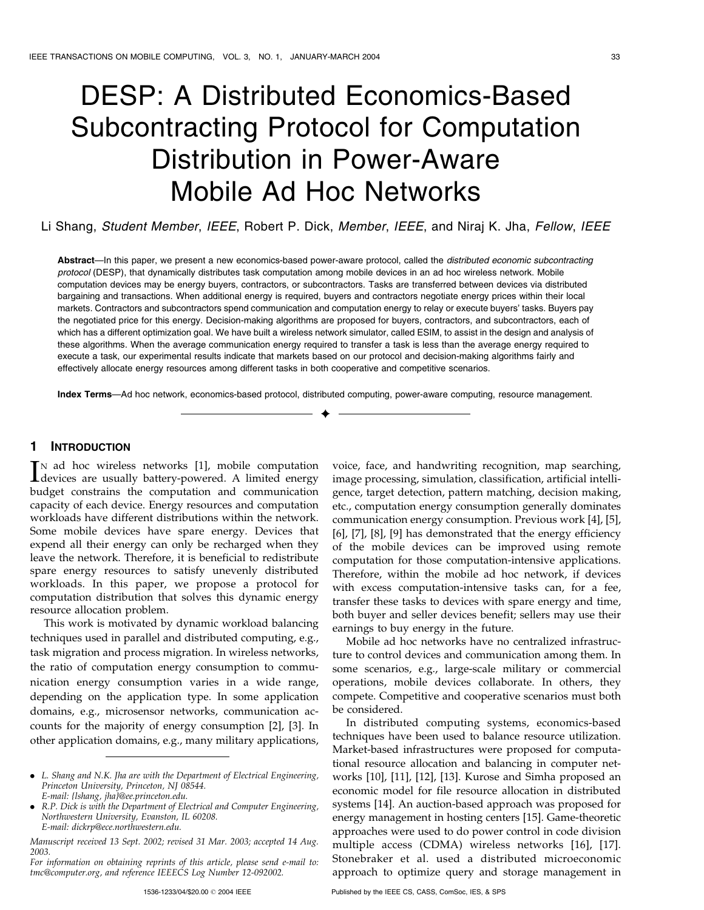# DESP: A Distributed Economics-Based Subcontracting Protocol for Computation Distribution in Power-Aware Mobile Ad Hoc Networks

Li Shang, *Student Member*, *IEEE*, Robert P. Dick, *Member*, *IEEE*, and Niraj K. Jha, *Fellow*, *IEEE*

Abstract—In this paper, we present a new economics-based power-aware protocol, called the *distributed economic subcontracting protocol* (DESP), that dynamically distributes task computation among mobile devices in an ad hoc wireless network. Mobile computation devices may be energy buyers, contractors, or subcontractors. Tasks are transferred between devices via distributed bargaining and transactions. When additional energy is required, buyers and contractors negotiate energy prices within their local markets. Contractors and subcontractors spend communication and computation energy to relay or execute buyers' tasks. Buyers pay the negotiated price for this energy. Decision-making algorithms are proposed for buyers, contractors, and subcontractors, each of which has a different optimization goal. We have built a wireless network simulator, called ESIM, to assist in the design and analysis of these algorithms. When the average communication energy required to transfer a task is less than the average energy required to execute a task, our experimental results indicate that markets based on our protocol and decision-making algorithms fairly and effectively allocate energy resources among different tasks in both cooperative and competitive scenarios.

Index Terms—Ad hoc network, economics-based protocol, distributed computing, power-aware computing, resource management. ♦

# 1 INTRODUCTION

IN ad hoc wireless networks [1], mobile computation<br>devices are usually battery-powered. A limited energy devices are usually battery-powered. A limited energy budget constrains the computation and communication capacity of each device. Energy resources and computation workloads have different distributions within the network. Some mobile devices have spare energy. Devices that expend all their energy can only be recharged when they leave the network. Therefore, it is beneficial to redistribute spare energy resources to satisfy unevenly distributed workloads. In this paper, we propose a protocol for computation distribution that solves this dynamic energy resource allocation problem.

This work is motivated by dynamic workload balancing techniques used in parallel and distributed computing, e.g., task migration and process migration. In wireless networks, the ratio of computation energy consumption to communication energy consumption varies in a wide range, depending on the application type. In some application domains, e.g., microsensor networks, communication accounts for the majority of energy consumption [2], [3]. In other application domains, e.g., many military applications,

voice, face, and handwriting recognition, map searching, image processing, simulation, classification, artificial intelligence, target detection, pattern matching, decision making, etc., computation energy consumption generally dominates communication energy consumption. Previous work [4], [5], [6], [7], [8], [9] has demonstrated that the energy efficiency of the mobile devices can be improved using remote computation for those computation-intensive applications. Therefore, within the mobile ad hoc network, if devices with excess computation-intensive tasks can, for a fee, transfer these tasks to devices with spare energy and time, both buyer and seller devices benefit; sellers may use their earnings to buy energy in the future.

Mobile ad hoc networks have no centralized infrastructure to control devices and communication among them. In some scenarios, e.g., large-scale military or commercial operations, mobile devices collaborate. In others, they compete. Competitive and cooperative scenarios must both be considered.

In distributed computing systems, economics-based techniques have been used to balance resource utilization. Market-based infrastructures were proposed for computational resource allocation and balancing in computer networks [10], [11], [12], [13]. Kurose and Simha proposed an economic model for file resource allocation in distributed systems [14]. An auction-based approach was proposed for energy management in hosting centers [15]. Game-theoretic approaches were used to do power control in code division multiple access (CDMA) wireless networks [16], [17]. Stonebraker et al. used a distributed microeconomic approach to optimize query and storage management in

<sup>.</sup> *L. Shang and N.K. Jha are with the Department of Electrical Engineering, Princeton University, Princeton, NJ 08544. E-mail: {lshang, jha}@ee.princeton.edu.*

<sup>.</sup> *R.P. Dick is with the Department of Electrical and Computer Engineering, Northwestern University, Evanston, IL 60208. E-mail: dickrp@ece.northwestern.edu.*

*Manuscript received 13 Sept. 2002; revised 31 Mar. 2003; accepted 14 Aug. 2003.*

*For information on obtaining reprints of this article, please send e-mail to: tmc@computer.org, and reference IEEECS Log Number 12-092002.*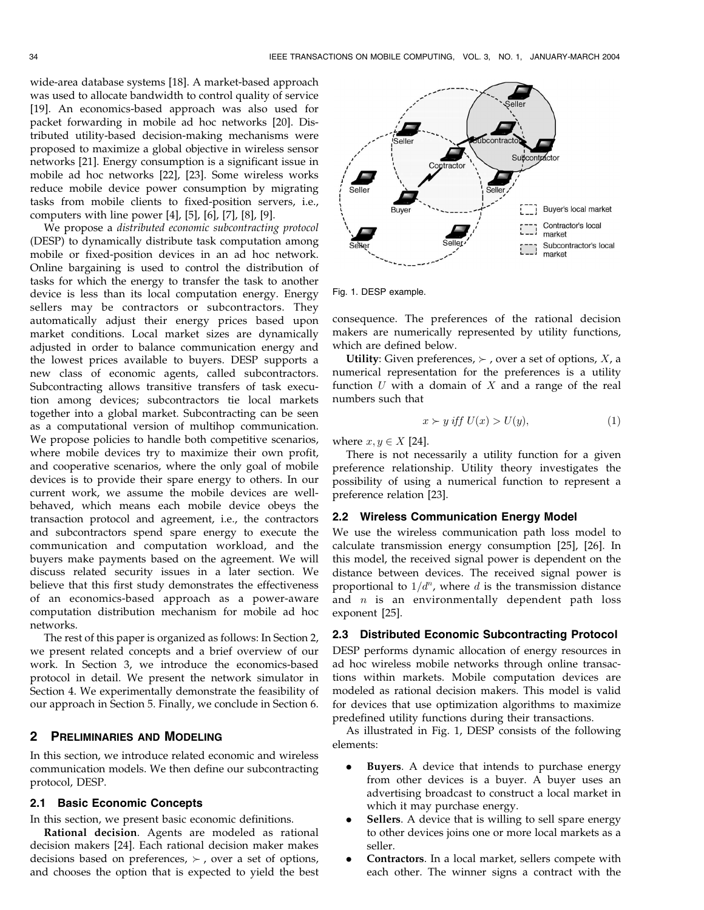wide-area database systems [18]. A market-based approach was used to allocate bandwidth to control quality of service [19]. An economics-based approach was also used for packet forwarding in mobile ad hoc networks [20]. Distributed utility-based decision-making mechanisms were proposed to maximize a global objective in wireless sensor networks [21]. Energy consumption is a significant issue in mobile ad hoc networks [22], [23]. Some wireless works reduce mobile device power consumption by migrating tasks from mobile clients to fixed-position servers, i.e., computers with line power [4], [5], [6], [7], [8], [9].

We propose a *distributed economic subcontracting protocol* (DESP) to dynamically distribute task computation among mobile or fixed-position devices in an ad hoc network. Online bargaining is used to control the distribution of tasks for which the energy to transfer the task to another device is less than its local computation energy. Energy sellers may be contractors or subcontractors. They automatically adjust their energy prices based upon market conditions. Local market sizes are dynamically adjusted in order to balance communication energy and the lowest prices available to buyers. DESP supports a new class of economic agents, called subcontractors. Subcontracting allows transitive transfers of task execution among devices; subcontractors tie local markets together into a global market. Subcontracting can be seen as a computational version of multihop communication. We propose policies to handle both competitive scenarios, where mobile devices try to maximize their own profit, and cooperative scenarios, where the only goal of mobile devices is to provide their spare energy to others. In our current work, we assume the mobile devices are wellbehaved, which means each mobile device obeys the transaction protocol and agreement, i.e., the contractors and subcontractors spend spare energy to execute the communication and computation workload, and the buyers make payments based on the agreement. We will discuss related security issues in a later section. We believe that this first study demonstrates the effectiveness of an economics-based approach as a power-aware computation distribution mechanism for mobile ad hoc networks.

The rest of this paper is organized as follows: In Section 2, we present related concepts and a brief overview of our work. In Section 3, we introduce the economics-based protocol in detail. We present the network simulator in Section 4. We experimentally demonstrate the feasibility of our approach in Section 5. Finally, we conclude in Section 6.

#### 2 PRELIMINARIES AND MODELING

In this section, we introduce related economic and wireless communication models. We then define our subcontracting protocol, DESP.

# 2.1 Basic Economic Concepts

In this section, we present basic economic definitions.

Rational decision. Agents are modeled as rational decision makers [24]. Each rational decision maker makes decisions based on preferences,  $\succ$ , over a set of options, and chooses the option that is expected to yield the best



Fig. 1. DESP example.

consequence. The preferences of the rational decision makers are numerically represented by utility functions, which are defined below.

Utility: Given preferences,  $\succ$ , over a set of options, *X*, a numerical representation for the preferences is a utility function *U* with a domain of *X* and a range of the real numbers such that

$$
x \succ y \text{ iff } U(x) > U(y), \tag{1}
$$

where  $x, y \in X$  [24].

There is not necessarily a utility function for a given preference relationship. Utility theory investigates the possibility of using a numerical function to represent a preference relation [23].

## 2.2 Wireless Communication Energy Model

We use the wireless communication path loss model to calculate transmission energy consumption [25], [26]. In this model, the received signal power is dependent on the distance between devices. The received signal power is proportional to  $1/d^n$ , where *d* is the transmission distance and *n* is an environmentally dependent path loss exponent [25].

## 2.3 Distributed Economic Subcontracting Protocol

DESP performs dynamic allocation of energy resources in ad hoc wireless mobile networks through online transactions within markets. Mobile computation devices are modeled as rational decision makers. This model is valid for devices that use optimization algorithms to maximize predefined utility functions during their transactions.

As illustrated in Fig. 1, DESP consists of the following elements:

- Buyers. A device that intends to purchase energy from other devices is a buyer. A buyer uses an advertising broadcast to construct a local market in which it may purchase energy.
- Sellers. A device that is willing to sell spare energy to other devices joins one or more local markets as a seller.
- . Contractors. In a local market, sellers compete with each other. The winner signs a contract with the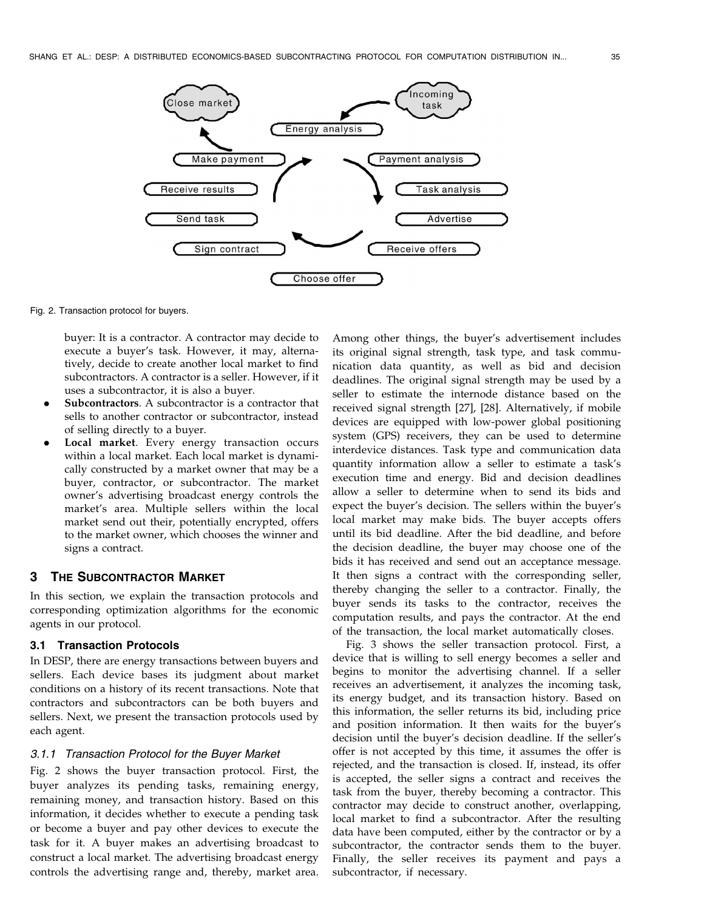

Fig. 2. Transaction protocol for buyers.

buyer: It is a contractor. A contractor may decide to execute a buyer's task. However, it may, alternatively, decide to create another local market to find subcontractors. A contractor is a seller. However, if it uses a subcontractor, it is also a buyer.

- . Subcontractors. A subcontractor is a contractor that sells to another contractor or subcontractor, instead of selling directly to a buyer.
- Local market. Every energy transaction occurs within a local market. Each local market is dynamically constructed by a market owner that may be a buyer, contractor, or subcontractor. The market owner's advertising broadcast energy controls the market's area. Multiple sellers within the local market send out their, potentially encrypted, offers to the market owner, which chooses the winner and signs a contract.

# 3 THE SUBCONTRACTOR MARKET

In this section, we explain the transaction protocols and corresponding optimization algorithms for the economic agents in our protocol.

# 3.1 Transaction Protocols

In DESP, there are energy transactions between buyers and sellers. Each device bases its judgment about market conditions on a history of its recent transactions. Note that contractors and subcontractors can be both buyers and sellers. Next, we present the transaction protocols used by each agent.

#### *3.1.1 Transaction Protocol for the Buyer Market*

Fig. 2 shows the buyer transaction protocol. First, the buyer analyzes its pending tasks, remaining energy, remaining money, and transaction history. Based on this information, it decides whether to execute a pending task or become a buyer and pay other devices to execute the task for it. A buyer makes an advertising broadcast to construct a local market. The advertising broadcast energy controls the advertising range and, thereby, market area.

Among other things, the buyer's advertisement includes its original signal strength, task type, and task communication data quantity, as well as bid and decision deadlines. The original signal strength may be used by a seller to estimate the internode distance based on the received signal strength [27], [28]. Alternatively, if mobile devices are equipped with low-power global positioning system (GPS) receivers, they can be used to determine interdevice distances. Task type and communication data quantity information allow a seller to estimate a task's execution time and energy. Bid and decision deadlines allow a seller to determine when to send its bids and expect the buyer's decision. The sellers within the buyer's local market may make bids. The buyer accepts offers until its bid deadline. After the bid deadline, and before the decision deadline, the buyer may choose one of the bids it has received and send out an acceptance message. It then signs a contract with the corresponding seller, thereby changing the seller to a contractor. Finally, the buyer sends its tasks to the contractor, receives the computation results, and pays the contractor. At the end of the transaction, the local market automatically closes.

Fig. 3 shows the seller transaction protocol. First, a device that is willing to sell energy becomes a seller and begins to monitor the advertising channel. If a seller receives an advertisement, it analyzes the incoming task, its energy budget, and its transaction history. Based on this information, the seller returns its bid, including price and position information. It then waits for the buyer's decision until the buyer's decision deadline. If the seller's offer is not accepted by this time, it assumes the offer is rejected, and the transaction is closed. If, instead, its offer is accepted, the seller signs a contract and receives the task from the buyer, thereby becoming a contractor. This contractor may decide to construct another, overlapping, local market to find a subcontractor. After the resulting data have been computed, either by the contractor or by a subcontractor, the contractor sends them to the buyer. Finally, the seller receives its payment and pays a subcontractor, if necessary.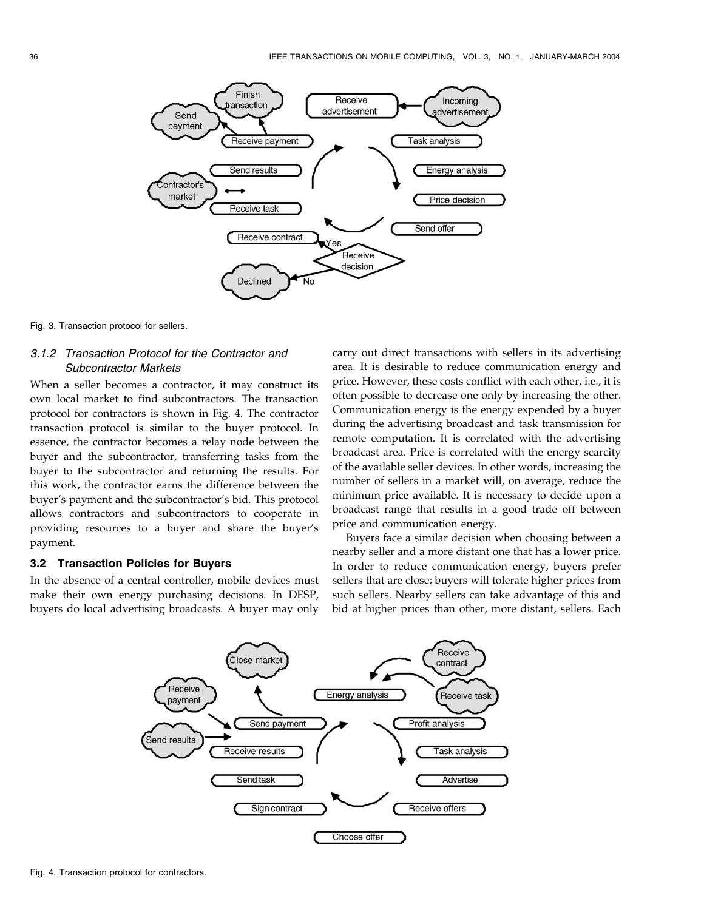

Fig. 3. Transaction protocol for sellers.

# *3.1.2 Transaction Protocol for the Contractor and Subcontractor Markets*

When a seller becomes a contractor, it may construct its own local market to find subcontractors. The transaction protocol for contractors is shown in Fig. 4. The contractor transaction protocol is similar to the buyer protocol. In essence, the contractor becomes a relay node between the buyer and the subcontractor, transferring tasks from the buyer to the subcontractor and returning the results. For this work, the contractor earns the difference between the buyer's payment and the subcontractor's bid. This protocol allows contractors and subcontractors to cooperate in providing resources to a buyer and share the buyer's payment.

#### 3.2 Transaction Policies for Buyers

In the absence of a central controller, mobile devices must make their own energy purchasing decisions. In DESP, buyers do local advertising broadcasts. A buyer may only

carry out direct transactions with sellers in its advertising area. It is desirable to reduce communication energy and price. However, these costs conflict with each other, i.e., it is often possible to decrease one only by increasing the other. Communication energy is the energy expended by a buyer during the advertising broadcast and task transmission for remote computation. It is correlated with the advertising broadcast area. Price is correlated with the energy scarcity of the available seller devices. In other words, increasing the number of sellers in a market will, on average, reduce the minimum price available. It is necessary to decide upon a broadcast range that results in a good trade off between price and communication energy.

Buyers face a similar decision when choosing between a nearby seller and a more distant one that has a lower price. In order to reduce communication energy, buyers prefer sellers that are close; buyers will tolerate higher prices from such sellers. Nearby sellers can take advantage of this and bid at higher prices than other, more distant, sellers. Each

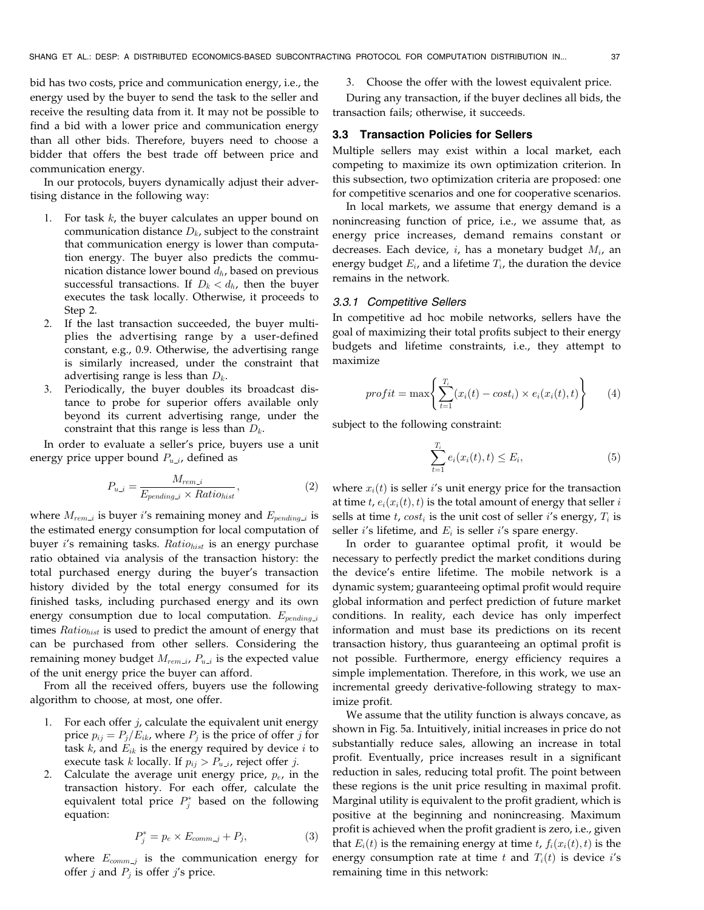bid has two costs, price and communication energy, i.e., the energy used by the buyer to send the task to the seller and receive the resulting data from it. It may not be possible to find a bid with a lower price and communication energy than all other bids. Therefore, buyers need to choose a bidder that offers the best trade off between price and communication energy.

In our protocols, buyers dynamically adjust their advertising distance in the following way:

- 1. For task *k*, the buyer calculates an upper bound on communication distance *Dk*, subject to the constraint that communication energy is lower than computation energy. The buyer also predicts the communication distance lower bound *dh*, based on previous successful transactions. If  $D_k < d_h$ , then the buyer executes the task locally. Otherwise, it proceeds to Step 2.
- 2. If the last transaction succeeded, the buyer multiplies the advertising range by a user-defined constant, e.g., 0.9. Otherwise, the advertising range is similarly increased, under the constraint that advertising range is less than *Dk*.
- 3. Periodically, the buyer doubles its broadcast distance to probe for superior offers available only beyond its current advertising range, under the constraint that this range is less than *Dk*.

In order to evaluate a seller's price, buyers use a unit energy price upper bound  $P_{u\_i}$ , defined as

$$
P_{u\_i} = \frac{M_{rem\_i}}{E_{pending\_i} \times Ratio_{hist}},\tag{2}
$$

where  $M_{rem\_i}$  is buyer *i*'s remaining money and  $E_{pending\_i}$  is the estimated energy consumption for local computation of buyer *i*'s remaining tasks. *Ratiohist* is an energy purchase ratio obtained via analysis of the transaction history: the total purchased energy during the buyer's transaction history divided by the total energy consumed for its finished tasks, including purchased energy and its own energy consumption due to local computation.  $E_{pending\_i}$ times *Ratiohist* is used to predict the amount of energy that can be purchased from other sellers. Considering the remaining money budget  $M_{rem\_i}$ ,  $P_{u\_i}$  is the expected value of the unit energy price the buyer can afford.

From all the received offers, buyers use the following algorithm to choose, at most, one offer.

- 1. For each offer *j*, calculate the equivalent unit energy price  $p_{ij} = P_j/E_{ik}$ , where  $P_j$  is the price of offer *j* for task  $k$ , and  $E_{ik}$  is the energy required by device  $i$  to execute task *k* locally. If  $p_{ij} > P_{u-i}$ , reject offer *j*.
- 2. Calculate the average unit energy price, *pe*, in the transaction history. For each offer, calculate the equivalent total price  $P_j^*$  based on the following equation:

$$
P_j^* = p_e \times E_{comm\_j} + P_j,\tag{3}
$$

where *Ecomm <sup>j</sup>* is the communication energy for offer *j* and *P<sup>j</sup>* is offer *j*'s price.

3. Choose the offer with the lowest equivalent price.

During any transaction, if the buyer declines all bids, the transaction fails; otherwise, it succeeds.

# 3.3 Transaction Policies for Sellers

Multiple sellers may exist within a local market, each competing to maximize its own optimization criterion. In this subsection, two optimization criteria are proposed: one for competitive scenarios and one for cooperative scenarios.

In local markets, we assume that energy demand is a nonincreasing function of price, i.e., we assume that, as energy price increases, demand remains constant or decreases. Each device, *i*, has a monetary budget *M<sup>i</sup>* , an energy budget  $E_i$ , and a lifetime  $T_i$ , the duration the device remains in the network.

#### *3.3.1 Competitive Sellers*

In competitive ad hoc mobile networks, sellers have the goal of maximizing their total profits subject to their energy budgets and lifetime constraints, i.e., they attempt to maximize

$$
profit = \max\left\{\sum_{t=1}^{T_i} (x_i(t) - cost_i) \times e_i(x_i(t), t)\right\} \qquad (4)
$$

subject to the following constraint:

$$
\sum_{t=1}^{T_i} e_i(x_i(t), t) \le E_i,
$$
\n(5)

where  $x_i(t)$  is seller *i*'s unit energy price for the transaction at time  $t$ ,  $e_i(x_i(t), t)$  is the total amount of energy that seller *i* sells at time  $t$ ,  $cost_i$  is the unit cost of seller  $i$ 's energy,  $T_i$  is seller *i*'s lifetime, and *E<sup>i</sup>* is seller *i*'s spare energy.

In order to guarantee optimal profit, it would be necessary to perfectly predict the market conditions during the device's entire lifetime. The mobile network is a dynamic system; guaranteeing optimal profit would require global information and perfect prediction of future market conditions. In reality, each device has only imperfect information and must base its predictions on its recent transaction history, thus guaranteeing an optimal profit is not possible. Furthermore, energy efficiency requires a simple implementation. Therefore, in this work, we use an incremental greedy derivative-following strategy to maximize profit.

We assume that the utility function is always concave, as shown in Fig. 5a. Intuitively, initial increases in price do not substantially reduce sales, allowing an increase in total profit. Eventually, price increases result in a significant reduction in sales, reducing total profit. The point between these regions is the unit price resulting in maximal profit. Marginal utility is equivalent to the profit gradient, which is positive at the beginning and nonincreasing. Maximum profit is achieved when the profit gradient is zero, i.e., given that  $E_i(t)$  is the remaining energy at time *t*,  $f_i(x_i(t), t)$  is the energy consumption rate at time  $t$  and  $T_i(t)$  is device  $i$ 's remaining time in this network: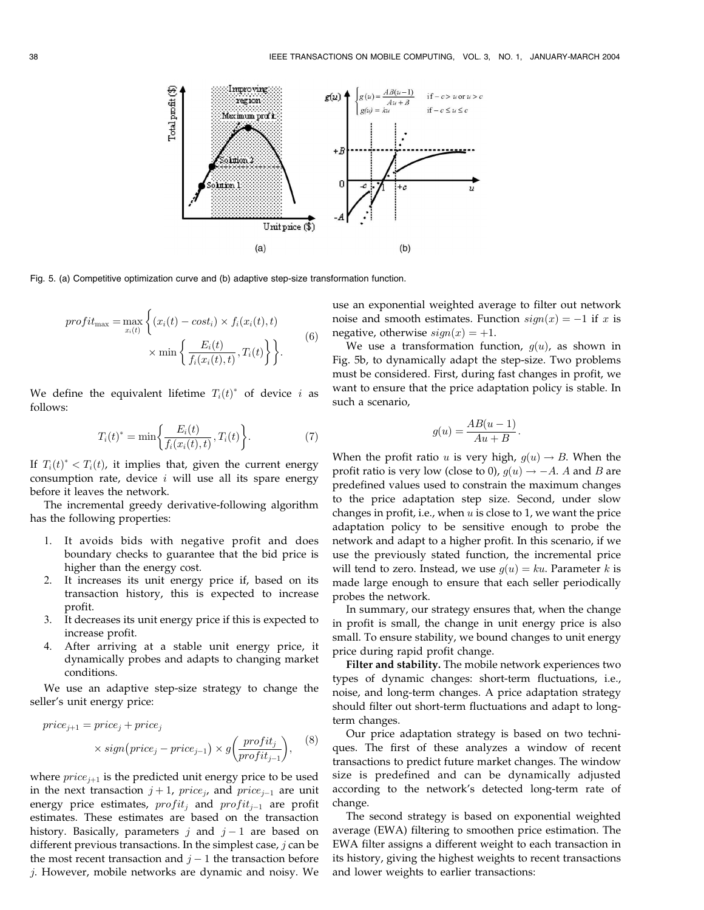

Fig. 5. (a) Competitive optimization curve and (b) adaptive step-size transformation function.

$$
profit_{\max} = \max_{x_i(t)} \left\{ (x_i(t) - cost_i) \times f_i(x_i(t), t) \times \min \left\{ \frac{E_i(t)}{f_i(x_i(t), t)}, T_i(t) \right\} \right\}.
$$
 (6)

We define the equivalent lifetime  $T_i(t)^*$  of device *i* as follows:

$$
T_i(t)^* = \min\left\{\frac{E_i(t)}{f_i(x_i(t),t)}, T_i(t)\right\}.
$$
 (7)

If  $T_i(t)^* < T_i(t)$ , it implies that, given the current energy consumption rate, device *i* will use all its spare energy before it leaves the network.

The incremental greedy derivative-following algorithm has the following properties:

- 1. It avoids bids with negative profit and does boundary checks to guarantee that the bid price is higher than the energy cost.
- 2. It increases its unit energy price if, based on its transaction history, this is expected to increase profit.
- 3. It decreases its unit energy price if this is expected to increase profit.
- 4. After arriving at a stable unit energy price, it dynamically probes and adapts to changing market conditions.

We use an adaptive step-size strategy to change the seller's unit energy price:

$$
price_{j+1} = price_j + price_j
$$
  
 
$$
\times sign(price_j - price_{j-1}) \times g\left(\frac{profit_j}{profit_{j-1}}\right),
$$
 (8)

where  $price_{j+1}$  is the predicted unit energy price to be used in the next transaction  $j + 1$ ,  $price_j$ , and  $price_{j-1}$  are unit energy price estimates,  $profit_j$  and  $profit_{j-1}$  are profit estimates. These estimates are based on the transaction history. Basically, parameters  $j$  and  $j - 1$  are based on different previous transactions. In the simplest case, *j* can be the most recent transaction and  $j - 1$  the transaction before *j*. However, mobile networks are dynamic and noisy. We

use an exponential weighted average to filter out network noise and smooth estimates. Function  $sign(x) = -1$  if *x* is negative, otherwise  $sign(x) = +1$ .

We use a transformation function,  $g(u)$ , as shown in Fig. 5b, to dynamically adapt the step-size. Two problems must be considered. First, during fast changes in profit, we want to ensure that the price adaptation policy is stable. In such a scenario,

$$
g(u) = \frac{AB(u-1)}{Au+B}.
$$

When the profit ratio *u* is very high,  $g(u) \rightarrow B$ . When the profit ratio is very low (close to 0),  $g(u) \rightarrow -A$ . *A* and *B* are predefined values used to constrain the maximum changes to the price adaptation step size. Second, under slow changes in profit, i.e., when *u* is close to 1, we want the price adaptation policy to be sensitive enough to probe the network and adapt to a higher profit. In this scenario, if we use the previously stated function, the incremental price will tend to zero. Instead, we use  $g(u) = ku$ . Parameter *k* is made large enough to ensure that each seller periodically probes the network.

In summary, our strategy ensures that, when the change in profit is small, the change in unit energy price is also small. To ensure stability, we bound changes to unit energy price during rapid profit change.

Filter and stability. The mobile network experiences two types of dynamic changes: short-term fluctuations, i.e., noise, and long-term changes. A price adaptation strategy should filter out short-term fluctuations and adapt to longterm changes.

Our price adaptation strategy is based on two techniques. The first of these analyzes a window of recent transactions to predict future market changes. The window size is predefined and can be dynamically adjusted according to the network's detected long-term rate of change.

The second strategy is based on exponential weighted average (EWA) filtering to smoothen price estimation. The EWA filter assigns a different weight to each transaction in its history, giving the highest weights to recent transactions and lower weights to earlier transactions: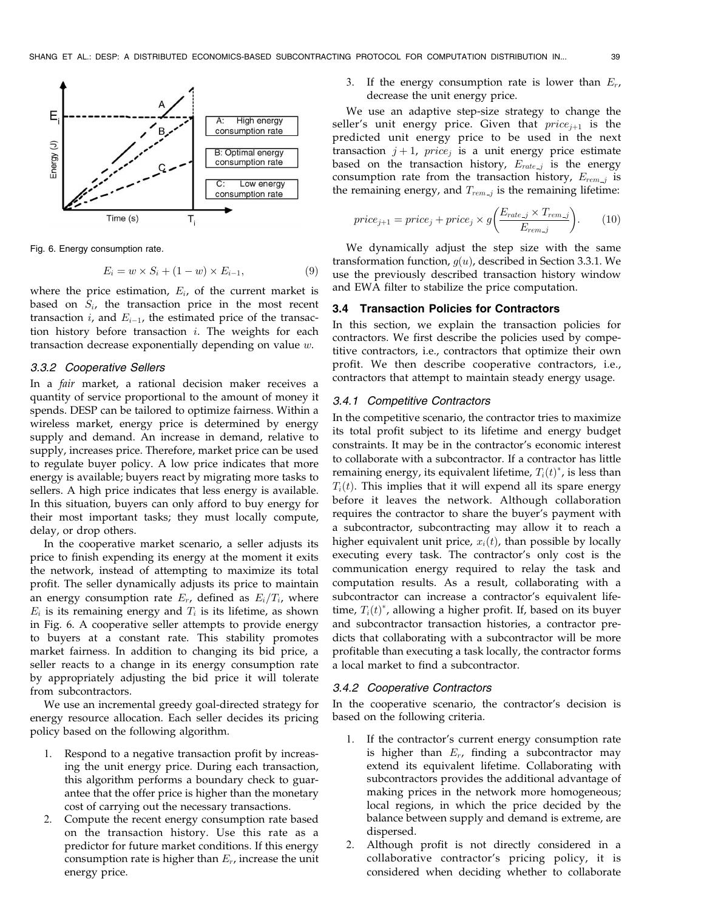

Fig. 6. Energy consumption rate.

$$
E_i = w \times S_i + (1 - w) \times E_{i-1}, \tag{9}
$$

where the price estimation, *E<sup>i</sup>* , of the current market is based on *S<sup>i</sup>* , the transaction price in the most recent transaction  $i$ , and  $E_{i-1}$ , the estimated price of the transaction history before transaction *i*. The weights for each transaction decrease exponentially depending on value *w*.

#### *3.3.2 Cooperative Sellers*

In a *fair* market, a rational decision maker receives a quantity of service proportional to the amount of money it spends. DESP can be tailored to optimize fairness. Within a wireless market, energy price is determined by energy supply and demand. An increase in demand, relative to supply, increases price. Therefore, market price can be used to regulate buyer policy. A low price indicates that more energy is available; buyers react by migrating more tasks to sellers. A high price indicates that less energy is available. In this situation, buyers can only afford to buy energy for their most important tasks; they must locally compute, delay, or drop others.

In the cooperative market scenario, a seller adjusts its price to finish expending its energy at the moment it exits the network, instead of attempting to maximize its total profit. The seller dynamically adjusts its price to maintain an energy consumption rate  $E_r$ , defined as  $E_i/T_i$ , where  $E_i$  is its remaining energy and  $T_i$  is its lifetime, as shown in Fig. 6. A cooperative seller attempts to provide energy to buyers at a constant rate. This stability promotes market fairness. In addition to changing its bid price, a seller reacts to a change in its energy consumption rate by appropriately adjusting the bid price it will tolerate from subcontractors.

We use an incremental greedy goal-directed strategy for energy resource allocation. Each seller decides its pricing policy based on the following algorithm.

- 1. Respond to a negative transaction profit by increasing the unit energy price. During each transaction, this algorithm performs a boundary check to guarantee that the offer price is higher than the monetary cost of carrying out the necessary transactions.
- 2. Compute the recent energy consumption rate based on the transaction history. Use this rate as a predictor for future market conditions. If this energy consumption rate is higher than *Er*, increase the unit energy price.

3. If the energy consumption rate is lower than *Er*, decrease the unit energy price.

We use an adaptive step-size strategy to change the seller's unit energy price. Given that  $price_{i+1}$  is the predicted unit energy price to be used in the next transaction  $j+1$ ,  $price_j$  is a unit energy price estimate based on the transaction history, *Erate <sup>j</sup>* is the energy consumption rate from the transaction history, *Erem <sup>j</sup>* is the remaining energy, and *Trem <sup>j</sup>* is the remaining lifetime:

$$
price_{j+1} = price_j + price_j \times g\left(\frac{E_{rate,j} \times T_{rem,j}}{E_{rem,j}}\right). \tag{10}
$$

We dynamically adjust the step size with the same transformation function,  $g(u)$ , described in Section 3.3.1. We use the previously described transaction history window and EWA filter to stabilize the price computation.

## 3.4 Transaction Policies for Contractors

In this section, we explain the transaction policies for contractors. We first describe the policies used by competitive contractors, i.e., contractors that optimize their own profit. We then describe cooperative contractors, i.e., contractors that attempt to maintain steady energy usage.

# *3.4.1 Competitive Contractors*

In the competitive scenario, the contractor tries to maximize its total profit subject to its lifetime and energy budget constraints. It may be in the contractor's economic interest to collaborate with a subcontractor. If a contractor has little remaining energy, its equivalent lifetime,  $T_i(t)^*$ , is less than  $T_i(t)$ . This implies that it will expend all its spare energy before it leaves the network. Although collaboration requires the contractor to share the buyer's payment with a subcontractor, subcontracting may allow it to reach a higher equivalent unit price,  $x_i(t)$ , than possible by locally executing every task. The contractor's only cost is the communication energy required to relay the task and computation results. As a result, collaborating with a subcontractor can increase a contractor's equivalent lifetime,  $T_i(t)^*$ , allowing a higher profit. If, based on its buyer and subcontractor transaction histories, a contractor predicts that collaborating with a subcontractor will be more profitable than executing a task locally, the contractor forms a local market to find a subcontractor.

## *3.4.2 Cooperative Contractors*

In the cooperative scenario, the contractor's decision is based on the following criteria.

- 1. If the contractor's current energy consumption rate is higher than *Er*, finding a subcontractor may extend its equivalent lifetime. Collaborating with subcontractors provides the additional advantage of making prices in the network more homogeneous; local regions, in which the price decided by the balance between supply and demand is extreme, are dispersed.
- 2. Although profit is not directly considered in a collaborative contractor's pricing policy, it is considered when deciding whether to collaborate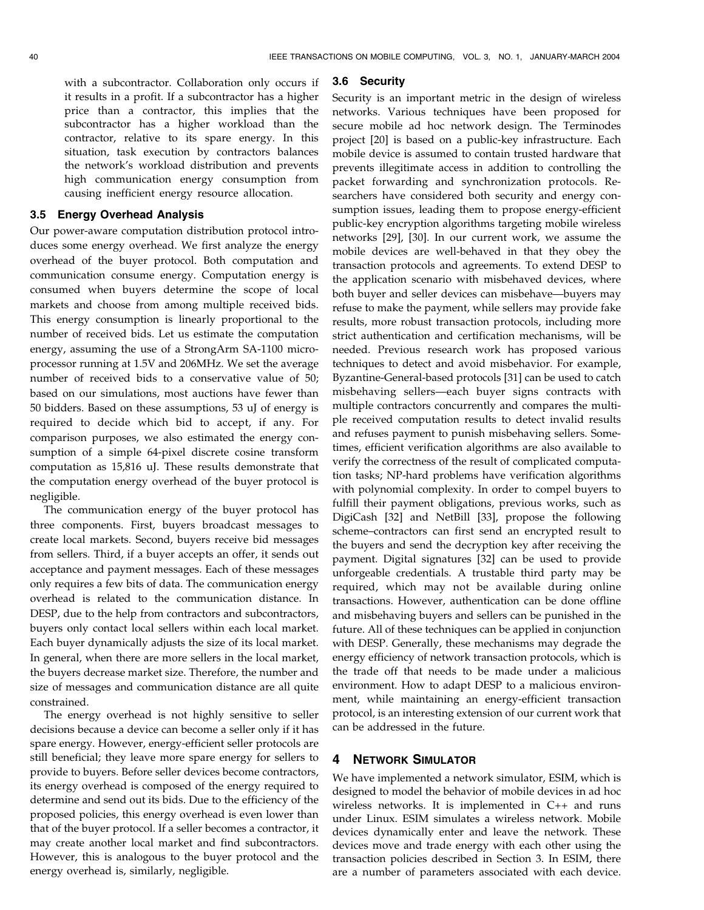with a subcontractor. Collaboration only occurs if it results in a profit. If a subcontractor has a higher price than a contractor, this implies that the subcontractor has a higher workload than the contractor, relative to its spare energy. In this situation, task execution by contractors balances the network's workload distribution and prevents high communication energy consumption from causing inefficient energy resource allocation.

# 3.5 Energy Overhead Analysis

Our power-aware computation distribution protocol introduces some energy overhead. We first analyze the energy overhead of the buyer protocol. Both computation and communication consume energy. Computation energy is consumed when buyers determine the scope of local markets and choose from among multiple received bids. This energy consumption is linearly proportional to the number of received bids. Let us estimate the computation energy, assuming the use of a StrongArm SA-1100 microprocessor running at 1.5V and 206MHz. We set the average number of received bids to a conservative value of 50; based on our simulations, most auctions have fewer than 50 bidders. Based on these assumptions, 53 uJ of energy is required to decide which bid to accept, if any. For comparison purposes, we also estimated the energy consumption of a simple 64-pixel discrete cosine transform computation as 15,816 uJ. These results demonstrate that the computation energy overhead of the buyer protocol is negligible.

The communication energy of the buyer protocol has three components. First, buyers broadcast messages to create local markets. Second, buyers receive bid messages from sellers. Third, if a buyer accepts an offer, it sends out acceptance and payment messages. Each of these messages only requires a few bits of data. The communication energy overhead is related to the communication distance. In DESP, due to the help from contractors and subcontractors, buyers only contact local sellers within each local market. Each buyer dynamically adjusts the size of its local market. In general, when there are more sellers in the local market, the buyers decrease market size. Therefore, the number and size of messages and communication distance are all quite constrained.

The energy overhead is not highly sensitive to seller decisions because a device can become a seller only if it has spare energy. However, energy-efficient seller protocols are still beneficial; they leave more spare energy for sellers to provide to buyers. Before seller devices become contractors, its energy overhead is composed of the energy required to determine and send out its bids. Due to the efficiency of the proposed policies, this energy overhead is even lower than that of the buyer protocol. If a seller becomes a contractor, it may create another local market and find subcontractors. However, this is analogous to the buyer protocol and the energy overhead is, similarly, negligible.

## 3.6 Security

Security is an important metric in the design of wireless networks. Various techniques have been proposed for secure mobile ad hoc network design. The Terminodes project [20] is based on a public-key infrastructure. Each mobile device is assumed to contain trusted hardware that prevents illegitimate access in addition to controlling the packet forwarding and synchronization protocols. Researchers have considered both security and energy consumption issues, leading them to propose energy-efficient public-key encryption algorithms targeting mobile wireless networks [29], [30]. In our current work, we assume the mobile devices are well-behaved in that they obey the transaction protocols and agreements. To extend DESP to the application scenario with misbehaved devices, where both buyer and seller devices can misbehave—buyers may refuse to make the payment, while sellers may provide fake results, more robust transaction protocols, including more strict authentication and certification mechanisms, will be needed. Previous research work has proposed various techniques to detect and avoid misbehavior. For example, Byzantine-General-based protocols [31] can be used to catch misbehaving sellers—each buyer signs contracts with multiple contractors concurrently and compares the multiple received computation results to detect invalid results and refuses payment to punish misbehaving sellers. Sometimes, efficient verification algorithms are also available to verify the correctness of the result of complicated computation tasks; NP-hard problems have verification algorithms with polynomial complexity. In order to compel buyers to fulfill their payment obligations, previous works, such as DigiCash [32] and NetBill [33], propose the following scheme–contractors can first send an encrypted result to the buyers and send the decryption key after receiving the payment. Digital signatures [32] can be used to provide unforgeable credentials. A trustable third party may be required, which may not be available during online transactions. However, authentication can be done offline and misbehaving buyers and sellers can be punished in the future. All of these techniques can be applied in conjunction with DESP. Generally, these mechanisms may degrade the energy efficiency of network transaction protocols, which is the trade off that needs to be made under a malicious environment. How to adapt DESP to a malicious environment, while maintaining an energy-efficient transaction protocol, is an interesting extension of our current work that can be addressed in the future.

# 4 NETWORK SIMULATOR

We have implemented a network simulator, ESIM, which is designed to model the behavior of mobile devices in ad hoc wireless networks. It is implemented in C++ and runs under Linux. ESIM simulates a wireless network. Mobile devices dynamically enter and leave the network. These devices move and trade energy with each other using the transaction policies described in Section 3. In ESIM, there are a number of parameters associated with each device.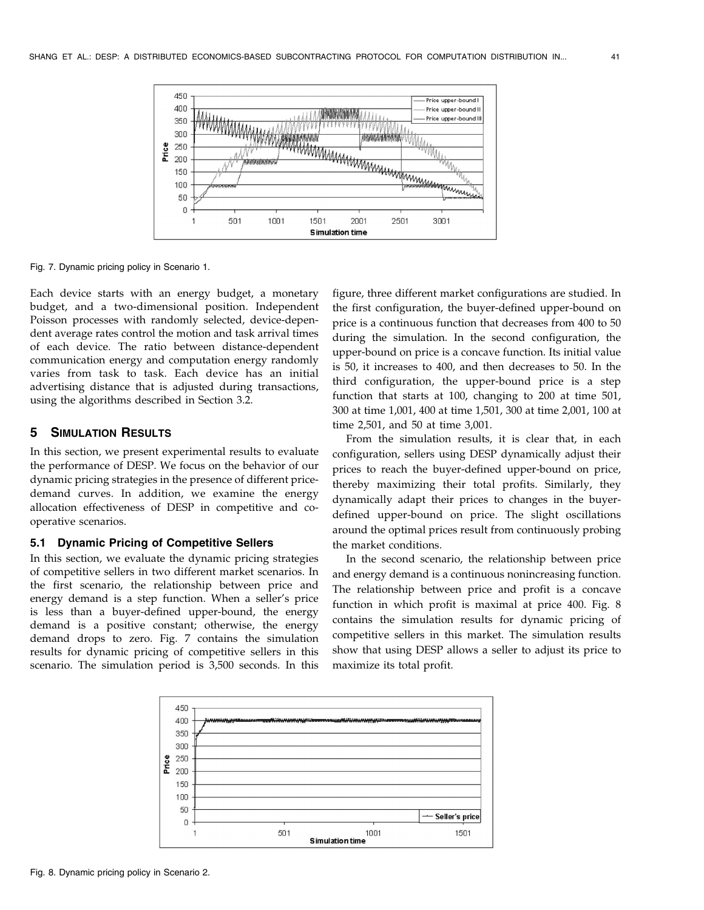

Fig. 7. Dynamic pricing policy in Scenario 1.

Each device starts with an energy budget, a monetary budget, and a two-dimensional position. Independent Poisson processes with randomly selected, device-dependent average rates control the motion and task arrival times of each device. The ratio between distance-dependent communication energy and computation energy randomly varies from task to task. Each device has an initial advertising distance that is adjusted during transactions, using the algorithms described in Section 3.2.

# 5 SIMULATION RESULTS

In this section, we present experimental results to evaluate the performance of DESP. We focus on the behavior of our dynamic pricing strategies in the presence of different pricedemand curves. In addition, we examine the energy allocation effectiveness of DESP in competitive and cooperative scenarios.

# 5.1 Dynamic Pricing of Competitive Sellers

In this section, we evaluate the dynamic pricing strategies of competitive sellers in two different market scenarios. In the first scenario, the relationship between price and energy demand is a step function. When a seller's price is less than a buyer-defined upper-bound, the energy demand is a positive constant; otherwise, the energy demand drops to zero. Fig. 7 contains the simulation results for dynamic pricing of competitive sellers in this scenario. The simulation period is 3,500 seconds. In this figure, three different market configurations are studied. In the first configuration, the buyer-defined upper-bound on price is a continuous function that decreases from 400 to 50 during the simulation. In the second configuration, the upper-bound on price is a concave function. Its initial value is 50, it increases to 400, and then decreases to 50. In the third configuration, the upper-bound price is a step function that starts at 100, changing to 200 at time 501, 300 at time 1,001, 400 at time 1,501, 300 at time 2,001, 100 at time 2,501, and 50 at time 3,001.

From the simulation results, it is clear that, in each configuration, sellers using DESP dynamically adjust their prices to reach the buyer-defined upper-bound on price, thereby maximizing their total profits. Similarly, they dynamically adapt their prices to changes in the buyerdefined upper-bound on price. The slight oscillations around the optimal prices result from continuously probing the market conditions.

In the second scenario, the relationship between price and energy demand is a continuous nonincreasing function. The relationship between price and profit is a concave function in which profit is maximal at price 400. Fig. 8 contains the simulation results for dynamic pricing of competitive sellers in this market. The simulation results show that using DESP allows a seller to adjust its price to maximize its total profit.

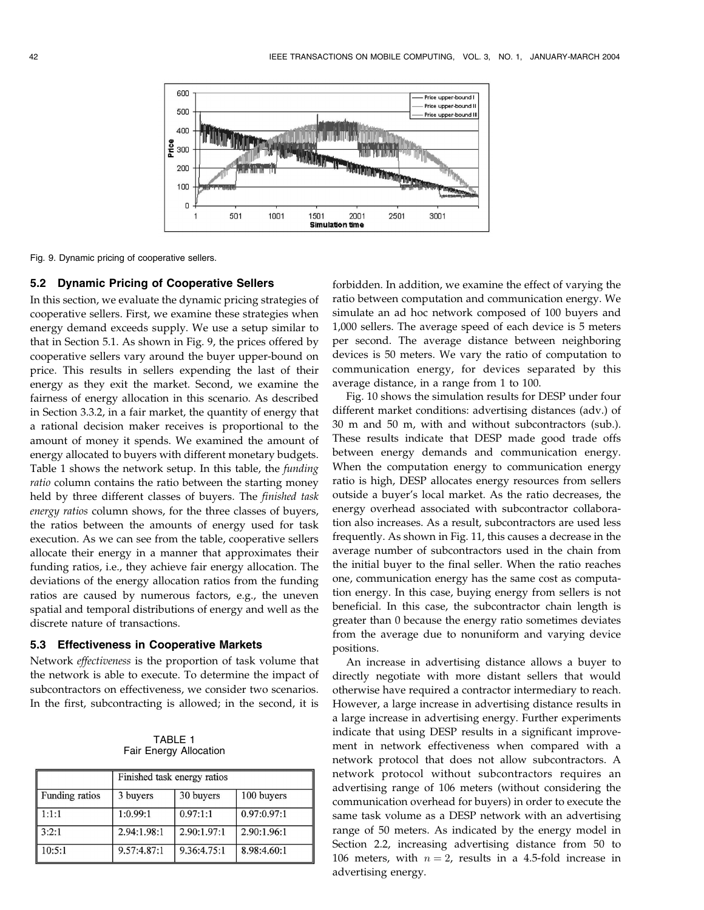

Fig. 9. Dynamic pricing of cooperative sellers.

# 5.2 Dynamic Pricing of Cooperative Sellers

In this section, we evaluate the dynamic pricing strategies of cooperative sellers. First, we examine these strategies when energy demand exceeds supply. We use a setup similar to that in Section 5.1. As shown in Fig. 9, the prices offered by cooperative sellers vary around the buyer upper-bound on price. This results in sellers expending the last of their energy as they exit the market. Second, we examine the fairness of energy allocation in this scenario. As described in Section 3.3.2, in a fair market, the quantity of energy that a rational decision maker receives is proportional to the amount of money it spends. We examined the amount of energy allocated to buyers with different monetary budgets. Table 1 shows the network setup. In this table, the *funding ratio* column contains the ratio between the starting money held by three different classes of buyers. The *finished task energy ratios* column shows, for the three classes of buyers, the ratios between the amounts of energy used for task execution. As we can see from the table, cooperative sellers allocate their energy in a manner that approximates their funding ratios, i.e., they achieve fair energy allocation. The deviations of the energy allocation ratios from the funding ratios are caused by numerous factors, e.g., the uneven spatial and temporal distributions of energy and well as the discrete nature of transactions.

# 5.3 Effectiveness in Cooperative Markets

Network *effectiveness* is the proportion of task volume that the network is able to execute. To determine the impact of subcontractors on effectiveness, we consider two scenarios. In the first, subcontracting is allowed; in the second, it is

| <b>TABLE 1</b> |  |                               |  |  |
|----------------|--|-------------------------------|--|--|
|                |  | <b>Fair Energy Allocation</b> |  |  |

|                | Finished task energy ratios |             |             |
|----------------|-----------------------------|-------------|-------------|
| Funding ratios | 3 buyers                    | 30 buyers   | 100 buyers  |
| 1:1:1          | 1:0.99:1                    | 0.97:1:1    | 0.97:0.97:1 |
| 3:2:1          | 2.94:1.98:1                 | 2.90:1.97:1 | 2.90:1.96:1 |
| 10:5:1         | 9.57:4.87:1                 | 9.36:4.75:1 | 8.98:4.60:1 |

forbidden. In addition, we examine the effect of varying the ratio between computation and communication energy. We simulate an ad hoc network composed of 100 buyers and 1,000 sellers. The average speed of each device is 5 meters per second. The average distance between neighboring devices is 50 meters. We vary the ratio of computation to communication energy, for devices separated by this average distance, in a range from 1 to 100.

Fig. 10 shows the simulation results for DESP under four different market conditions: advertising distances (adv.) of 30 m and 50 m, with and without subcontractors (sub.). These results indicate that DESP made good trade offs between energy demands and communication energy. When the computation energy to communication energy ratio is high, DESP allocates energy resources from sellers outside a buyer's local market. As the ratio decreases, the energy overhead associated with subcontractor collaboration also increases. As a result, subcontractors are used less frequently. As shown in Fig. 11, this causes a decrease in the average number of subcontractors used in the chain from the initial buyer to the final seller. When the ratio reaches one, communication energy has the same cost as computation energy. In this case, buying energy from sellers is not beneficial. In this case, the subcontractor chain length is greater than 0 because the energy ratio sometimes deviates from the average due to nonuniform and varying device positions.

An increase in advertising distance allows a buyer to directly negotiate with more distant sellers that would otherwise have required a contractor intermediary to reach. However, a large increase in advertising distance results in a large increase in advertising energy. Further experiments indicate that using DESP results in a significant improvement in network effectiveness when compared with a network protocol that does not allow subcontractors. A network protocol without subcontractors requires an advertising range of 106 meters (without considering the communication overhead for buyers) in order to execute the same task volume as a DESP network with an advertising range of 50 meters. As indicated by the energy model in Section 2.2, increasing advertising distance from 50 to 106 meters, with  $n = 2$ , results in a 4.5-fold increase in advertising energy.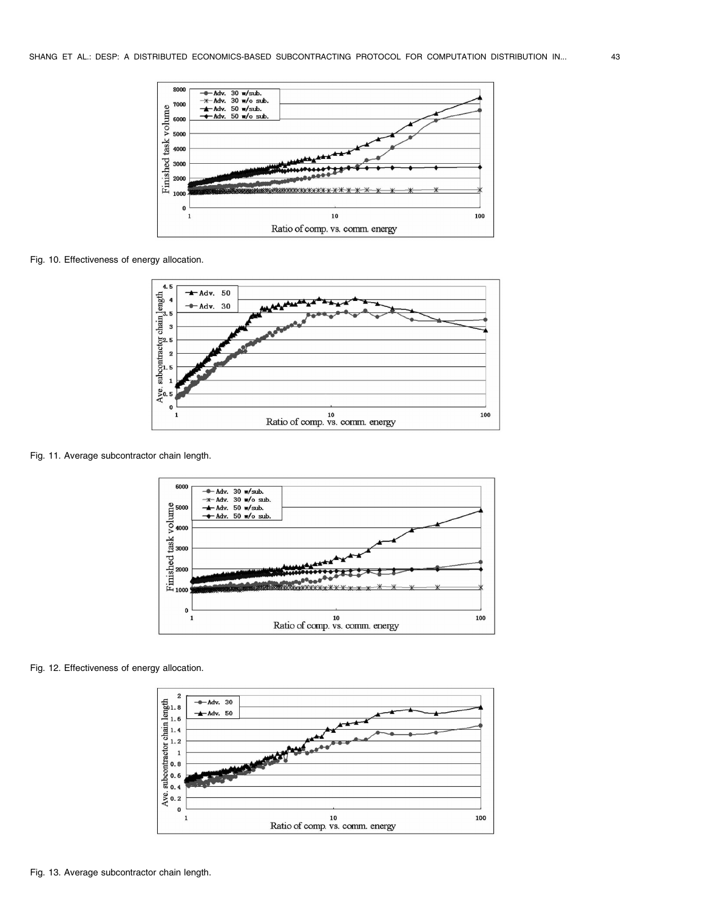

Fig. 10. Effectiveness of energy allocation.



Fig. 11. Average subcontractor chain length.



Fig. 12. Effectiveness of energy allocation.

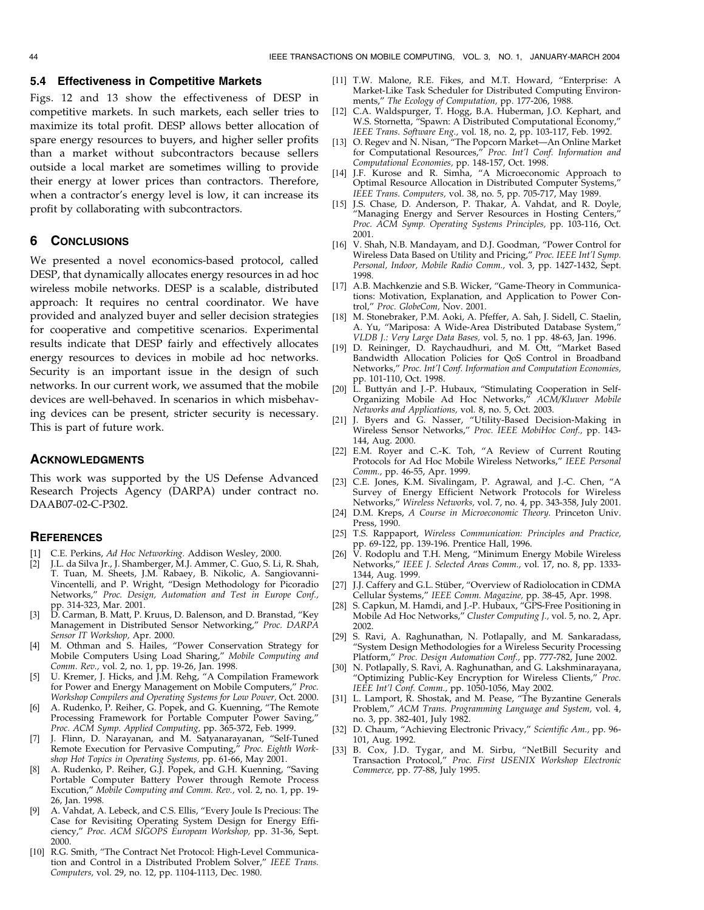#### 5.4 Effectiveness in Competitive Markets

Figs. 12 and 13 show the effectiveness of DESP in competitive markets. In such markets, each seller tries to maximize its total profit. DESP allows better allocation of spare energy resources to buyers, and higher seller profits than a market without subcontractors because sellers outside a local market are sometimes willing to provide their energy at lower prices than contractors. Therefore, when a contractor's energy level is low, it can increase its profit by collaborating with subcontractors.

## 6 CONCLUSIONS

We presented a novel economics-based protocol, called DESP, that dynamically allocates energy resources in ad hoc wireless mobile networks. DESP is a scalable, distributed approach: It requires no central coordinator. We have provided and analyzed buyer and seller decision strategies for cooperative and competitive scenarios. Experimental results indicate that DESP fairly and effectively allocates energy resources to devices in mobile ad hoc networks. Security is an important issue in the design of such networks. In our current work, we assumed that the mobile devices are well-behaved. In scenarios in which misbehaving devices can be present, stricter security is necessary. This is part of future work.

## ACKNOWLEDGMENTS

This work was supported by the US Defense Advanced Research Projects Agency (DARPA) under contract no. DAAB07-02-C-P302.

#### **REFERENCES**

- [1] C.E. Perkins, *Ad Hoc Networking.* Addison Wesley, 2000.
- [2] J.L. da Silva Jr., J. Shamberger, M.J. Ammer, C. Guo, S. Li, R. Shah, T. Tuan, M. Sheets, J.M. Rabaey, B. Nikolic, A. Sangiovanni-Vincentelli, and P. Wright, "Design Methodology for Picoradio Networks," *Proc. Design, Automation and Test in Europe Conf.,* pp. 314-323, Mar. 2001.
- [3] D. Carman, B. Matt, P. Kruus, D. Balenson, and D. Branstad, "Key Management in Distributed Sensor Networking," *Proc. DARPA Sensor IT Workshop,* Apr. 2000.
- M. Othman and S. Hailes, "Power Conservation Strategy for Mobile Computers Using Load Sharing," *Mobile Computing and Comm. Rev.,* vol. 2, no. 1, pp. 19-26, Jan. 1998.
- [5] U. Kremer, J. Hicks, and J.M. Rehg, "A Compilation Framework for Power and Energy Management on Mobile Computers," *Proc. Workshop Compilers and Operating Systems for Low Power,* Oct. 2000.
- A. Rudenko, P. Reiher, G. Popek, and G. Kuenning, "The Remote Processing Framework for Portable Computer Power Saving," *Proc. ACM Symp. Applied Computing,* pp. 365-372, Feb. 1999.
- [7] J. Flinn, D. Narayanan, and M. Satyanarayanan, "Self-Tuned Remote Execution for Pervasive Computing," *Proc. Eighth Workshop Hot Topics in Operating Systems,* pp. 61-66, May 2001.
- [8] A. Rudenko, P. Reiher, G.J. Popek, and G.H. Kuenning, "Saving Portable Computer Battery Power through Remote Process Excution," *Mobile Computing and Comm. Rev.,* vol. 2, no. 1, pp. 19- 26, Jan. 1998.
- [9] A. Vahdat, A. Lebeck, and C.S. Ellis, "Every Joule Is Precious: The Case for Revisiting Operating System Design for Energy Efficiency," *Proc. ACM SIGOPS European Workshop,* pp. 31-36, Sept. 2000.
- [10] R.G. Smith, "The Contract Net Protocol: High-Level Communication and Control in a Distributed Problem Solver," *IEEE Trans. Computers,* vol. 29, no. 12, pp. 1104-1113, Dec. 1980.
- [11] T.W. Malone, R.E. Fikes, and M.T. Howard, "Enterprise: A Market-Like Task Scheduler for Distributed Computing Environments," *The Ecology of Computation,* pp. 177-206, 1988.
- [12] C.A. Waldspurger, T. Hogg, B.A. Huberman, J.O. Kephart, and W.S. Stornetta, "Spawn: A Distributed Computational Economy," *IEEE Trans. Software Eng.,* vol. 18, no. 2, pp. 103-117, Feb. 1992.
- [13] O. Regev and N. Nisan, "The Popcorn Market—An Online Market for Computational Resources," *Proc. Int'l Conf. Information and Computational Economies,* pp. 148-157, Oct. 1998.
- [14] J.F. Kurose and R. Simha, "A Microeconomic Approach to Optimal Resource Allocation in Distributed Computer Systems," *IEEE Trans. Computers,* vol. 38, no. 5, pp. 705-717, May 1989.
- [15] J.S. Chase, D. Anderson, P. Thakar, A. Vahdat, and R. Doyle, "Managing Energy and Server Resources in Hosting Centers," *Proc. ACM Symp. Operating Systems Principles,* pp. 103-116, Oct. 2001.
- [16] V. Shah, N.B. Mandayam, and D.J. Goodman, "Power Control for Wireless Data Based on Utility and Pricing," *Proc. IEEE Int'l Symp. Personal, Indoor, Mobile Radio Comm.,* vol. 3, pp. 1427-1432, Sept. 1998.
- [17] A.B. Machkenzie and S.B. Wicker, "Game-Theory in Communications: Motivation, Explanation, and Application to Power Control," *Proc. GlobeCom,* Nov. 2001.
- [18] M. Stonebraker, P.M. Aoki, A. Pfeffer, A. Sah, J. Sidell, C. Staelin, A. Yu, "Mariposa: A Wide-Area Distributed Database System," *VLDB J.: Very Large Data Bases,* vol. 5, no. 1 pp. 48-63, Jan. 1996.
- [19] D. Reininger, D. Raychaudhuri, and M. Ott, "Market Based Bandwidth Allocation Policies for QoS Control in Broadband Networks," *Proc. Int'l Conf. Information and Computation Economies,* pp. 101-110, Oct. 1998.
- [20] L. Buttyán and J.-P. Hubaux, "Stimulating Cooperation in Self-Organizing Mobile Ad Hoc Networks," *ACM/Kluwer Mobile Networks and Applications,* vol. 8, no. 5, Oct. 2003.
- [21] J. Byers and G. Nasser, "Utility-Based Decision-Making in Wireless Sensor Networks," *Proc. IEEE MobiHoc Conf.,* pp. 143- 144, Aug. 2000.
- [22] E.M. Royer and C.-K. Toh, "A Review of Current Routing Protocols for Ad Hoc Mobile Wireless Networks," *IEEE Personal Comm.,* pp. 46-55, Apr. 1999.
- [23] C.E. Jones, K.M. Sivalingam, P. Agrawal, and J.-C. Chen, "A Survey of Energy Efficient Network Protocols for Wireless Networks," *Wireless Networks,* vol. 7, no. 4, pp. 343-358, July 2001.
- [24] D.M. Kreps, *A Course in Microeconomic Theory.* Princeton Univ. Press, 1990.
- [25] T.S. Rappaport, *Wireless Communication: Principles and Practice,* pp. 69-122, pp. 139-196. Prentice Hall, 1996.
- [26] V. Rodoplu and T.H. Meng, "Minimum Energy Mobile Wireless Networks," *IEEE J. Selected Areas Comm.,* vol. 17, no. 8, pp. 1333- 1344, Aug. 1999.
- [27] J.J. Caffery and G.L. Stüber, "Overview of Radiolocation in CDMA Cellular Systems," *IEEE Comm. Magazine,* pp. 38-45, Apr. 1998.
- [28] S. Capkun, M. Hamdi, and J.-P. Hubaux, "GPS-Free Positioning in Mobile Ad Hoc Networks," *Cluster Computing J.,* vol. 5, no. 2, Apr. 2002.
- [29] S. Ravi, A. Raghunathan, N. Potlapally, and M. Sankaradass, "System Design Methodologies for a Wireless Security Processing Platform," *Proc. Design Automation Conf.,* pp. 777-782, June 2002.
- N. Potlapally, S. Ravi, A. Raghunathan, and G. Lakshminarayana, "Optimizing Public-Key Encryption for Wireless Clients," *Proc. IEEE Int'l Conf. Comm.,* pp. 1050-1056, May 2002.
- [31] L. Lamport, R. Shostak, and M. Pease, "The Byzantine Generals Problem," *ACM Trans. Programming Language and System,* vol. 4, no. 3, pp. 382-401, July 1982.
- [32] D. Chaum, "Achieving Electronic Privacy," *Scientific Am.,* pp. 96- 101, Aug. 1992.
- [33] B. Cox, J.D. Tygar, and M. Sirbu, "NetBill Security and Transaction Protocol," *Proc. First USENIX Workshop Electronic Commerce,* pp. 77-88, July 1995.